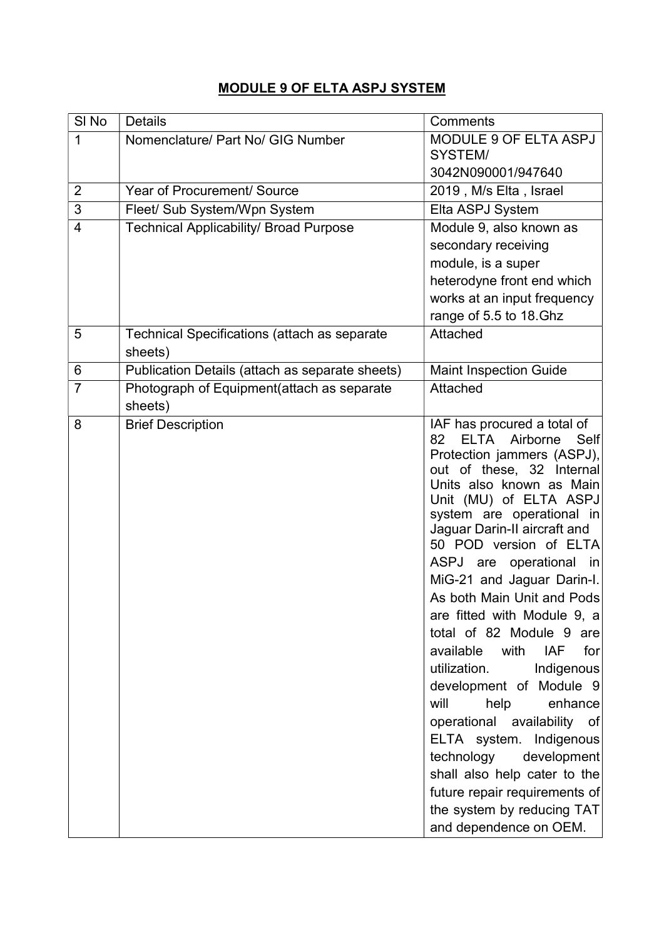## MODULE 9 OF ELTA ASPJ SYSTEM

| SI <sub>No</sub> | <b>Details</b>                                          | Comments                                                                                                                                                                                                                                                                                                                                                                                                                                                                                                                                                                                                                                                                                                                                                                        |
|------------------|---------------------------------------------------------|---------------------------------------------------------------------------------------------------------------------------------------------------------------------------------------------------------------------------------------------------------------------------------------------------------------------------------------------------------------------------------------------------------------------------------------------------------------------------------------------------------------------------------------------------------------------------------------------------------------------------------------------------------------------------------------------------------------------------------------------------------------------------------|
| 1                | Nomenclature/ Part No/ GIG Number                       | MODULE 9 OF ELTA ASPJ<br>SYSTEM/                                                                                                                                                                                                                                                                                                                                                                                                                                                                                                                                                                                                                                                                                                                                                |
|                  |                                                         | 3042N090001/947640                                                                                                                                                                                                                                                                                                                                                                                                                                                                                                                                                                                                                                                                                                                                                              |
| $\overline{2}$   | Year of Procurement/ Source                             | 2019, M/s Elta, Israel                                                                                                                                                                                                                                                                                                                                                                                                                                                                                                                                                                                                                                                                                                                                                          |
| 3                | Fleet/ Sub System/Wpn System                            | Elta ASPJ System                                                                                                                                                                                                                                                                                                                                                                                                                                                                                                                                                                                                                                                                                                                                                                |
| 4                | <b>Technical Applicability/ Broad Purpose</b>           | Module 9, also known as                                                                                                                                                                                                                                                                                                                                                                                                                                                                                                                                                                                                                                                                                                                                                         |
|                  |                                                         | secondary receiving                                                                                                                                                                                                                                                                                                                                                                                                                                                                                                                                                                                                                                                                                                                                                             |
|                  |                                                         | module, is a super                                                                                                                                                                                                                                                                                                                                                                                                                                                                                                                                                                                                                                                                                                                                                              |
|                  |                                                         | heterodyne front end which                                                                                                                                                                                                                                                                                                                                                                                                                                                                                                                                                                                                                                                                                                                                                      |
|                  |                                                         | works at an input frequency                                                                                                                                                                                                                                                                                                                                                                                                                                                                                                                                                                                                                                                                                                                                                     |
|                  |                                                         | range of 5.5 to 18.Ghz                                                                                                                                                                                                                                                                                                                                                                                                                                                                                                                                                                                                                                                                                                                                                          |
| 5                | Technical Specifications (attach as separate<br>sheets) | Attached                                                                                                                                                                                                                                                                                                                                                                                                                                                                                                                                                                                                                                                                                                                                                                        |
| 6                | Publication Details (attach as separate sheets)         | <b>Maint Inspection Guide</b>                                                                                                                                                                                                                                                                                                                                                                                                                                                                                                                                                                                                                                                                                                                                                   |
| $\overline{7}$   | Photograph of Equipment(attach as separate<br>sheets)   | Attached                                                                                                                                                                                                                                                                                                                                                                                                                                                                                                                                                                                                                                                                                                                                                                        |
| 8                | <b>Brief Description</b>                                | IAF has procured a total of<br><b>ELTA</b><br>Airborne<br>Self<br>82<br>Protection jammers (ASPJ),<br>out of these, 32 Internal<br>Units also known as Main<br>Unit (MU) of ELTA ASPJ<br>system are operational in<br>Jaguar Darin-II aircraft and<br>50 POD version of ELTA<br>ASPJ are operational in<br>MiG-21 and Jaguar Darin-I.<br>As both Main Unit and Pods<br>are fitted with Module 9, a<br>total of 82 Module 9<br>are<br>with<br><b>IAF</b><br>available<br>for<br>utilization.<br>Indigenous<br>development of Module 9<br>will<br>help<br>enhance<br>operational availability of<br>ELTA system. Indigenous<br>technology<br>development<br>shall also help cater to the<br>future repair requirements of<br>the system by reducing TAT<br>and dependence on OEM. |